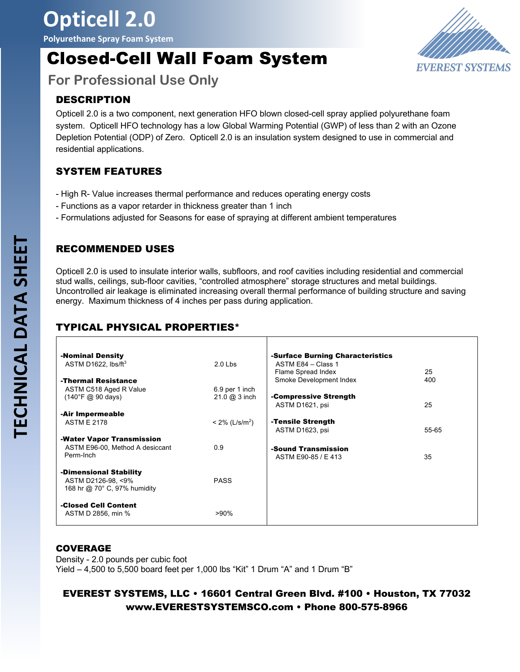**Polyurethane Spray Foam System**

# Closed-Cell Wall Foam System



**For Professional Use Only**

### DESCRIPTION

Opticell 2.0 is a two component, next generation HFO blown closed-cell spray applied polyurethane foam system. Opticell HFO technology has a low Global Warming Potential (GWP) of less than 2 with an Ozone Depletion Potential (ODP) of Zero. Opticell 2.0 is an insulation system designed to use in commercial and residential applications.

## SYSTEM FEATURES

- High R- Value increases thermal performance and reduces operating energy costs
- Functions as a vapor retarder in thickness greater than 1 inch
- Formulations adjusted for Seasons for ease of spraying at different ambient temperatures

#### RECOMMENDED USES

Opticell 2.0 is used to insulate interior walls, subfloors, and roof cavities including residential and commercial stud walls, ceilings, sub-floor cavities, "controlled atmosphere" storage structures and metal buildings. Uncontrolled air leakage is eliminated increasing overall thermal performance of building structure and saving energy. Maximum thickness of 4 inches per pass during application.

## TYPICAL PHYSICAL PROPERTIES\*

| -Nominal Density                                      |                               | -Surface Burning Characteristics |       |
|-------------------------------------------------------|-------------------------------|----------------------------------|-------|
| ASTM D1622, $\text{lbs/ft}^3$                         | $2.0$ Lbs                     | ASTM E84 - Class 1               |       |
|                                                       |                               | Flame Spread Index               | 25    |
| -Thermal Resistance                                   |                               | Smoke Development Index          | 400   |
| ASTM C518 Aged R Value                                | 6.9 per 1 inch                |                                  |       |
| $(140^{\circ}F \; \textcircled{a} 90 \; \text{days})$ | 21.0 @ 3 inch                 | -Compressive Strength            |       |
|                                                       |                               | ASTM D1621, psi                  | 25    |
| -Air Impermeable                                      |                               |                                  |       |
| <b>ASTM E 2178</b>                                    | $< 2\%$ (L/s/m <sup>2</sup> ) | -Tensile Strength                |       |
|                                                       |                               | ASTM D1623, psi                  | 55-65 |
| -Water Vapor Transmission                             |                               |                                  |       |
| ASTM E96-00, Method A desiccant                       | 0.9                           | -Sound Transmission              |       |
| Perm-Inch                                             |                               | ASTM E90-85 / E 413              | 35    |
|                                                       |                               |                                  |       |
| -Dimensional Stability                                |                               |                                  |       |
| ASTM D2126-98, <9%                                    | <b>PASS</b>                   |                                  |       |
| 168 hr @ 70° C, 97% humidity                          |                               |                                  |       |
| -Closed Cell Content                                  |                               |                                  |       |
| ASTM D 2856, min %                                    | >90%                          |                                  |       |
|                                                       |                               |                                  |       |

#### COVERAGE

Density - 2.0 pounds per cubic foot Yield – 4,500 to 5,500 board feet per 1,000 lbs "Kit" 1 Drum "A" and 1 Drum "B"

### EVEREST SYSTEMS, LLC • 16601 Central Green Blvd. #100 • Houston, TX 77032 www.EVERESTSYSTEMSCO.com • Phone 800-575-8966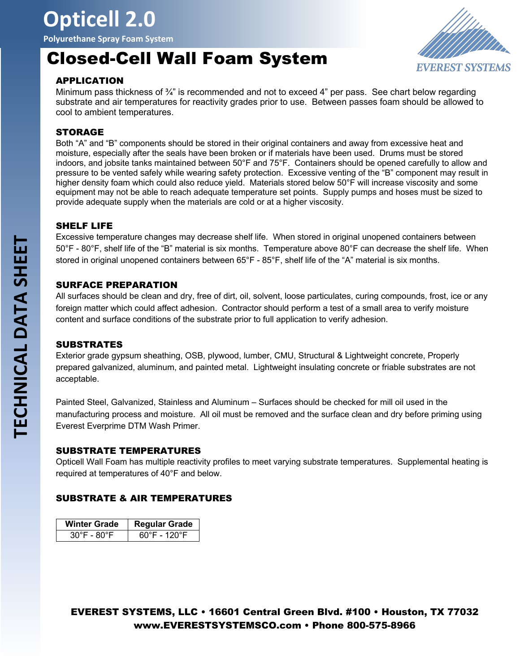# **Opticell 2.0**

**Polyurethane Spray Foam System**

# Closed-Cell Wall Foam System



#### APPLICATION

Minimum pass thickness of ¾" is recommended and not to exceed 4" per pass. See chart below regarding substrate and air temperatures for reactivity grades prior to use. Between passes foam should be allowed to cool to ambient temperatures.

#### STORAGE

Both "A" and "B" components should be stored in their original containers and away from excessive heat and moisture, especially after the seals have been broken or if materials have been used. Drums must be stored indoors, and jobsite tanks maintained between 50°F and 75°F. Containers should be opened carefully to allow and pressure to be vented safely while wearing safety protection. Excessive venting of the "B" component may result in higher density foam which could also reduce yield. Materials stored below 50°F will increase viscosity and some equipment may not be able to reach adequate temperature set points. Supply pumps and hoses must be sized to provide adequate supply when the materials are cold or at a higher viscosity.

#### SHELF LIFE

Excessive temperature changes may decrease shelf life. When stored in original unopened containers between 50°F - 80°F, shelf life of the "B" material is six months. Temperature above 80°F can decrease the shelf life. When stored in original unopened containers between 65°F - 85°F, shelf life of the "A" material is six months.

#### SURFACE PREPARATION

All surfaces should be clean and dry, free of dirt, oil, solvent, loose particulates, curing compounds, frost, ice or any foreign matter which could affect adhesion. Contractor should perform a test of a small area to verify moisture content and surface conditions of the substrate prior to full application to verify adhesion.

#### **SUBSTRATES**

Exterior grade gypsum sheathing, OSB, plywood, lumber, CMU, Structural & Lightweight concrete, Properly prepared galvanized, aluminum, and painted metal. Lightweight insulating concrete or friable substrates are not acceptable.

Painted Steel, Galvanized, Stainless and Aluminum – Surfaces should be checked for mill oil used in the manufacturing process and moisture. All oil must be removed and the surface clean and dry before priming using Everest Everprime DTM Wash Primer.

#### SUBSTRATE TEMPERATURES

Opticell Wall Foam has multiple reactivity profiles to meet varying substrate temperatures. Supplemental heating is required at temperatures of 40°F and below.

#### SUBSTRATE & AIR TEMPERATURES

| <b>Winter Grade</b> | <b>Regular Grade</b> |
|---------------------|----------------------|
| 30°F - 80°F         | $60^\circ$ F - 120°F |

EVEREST SYSTEMS, LLC • 16601 Central Green Blvd. #100 • Houston, TX 77032 www.EVERESTSYSTEMSCO.com • Phone 800-575-8966